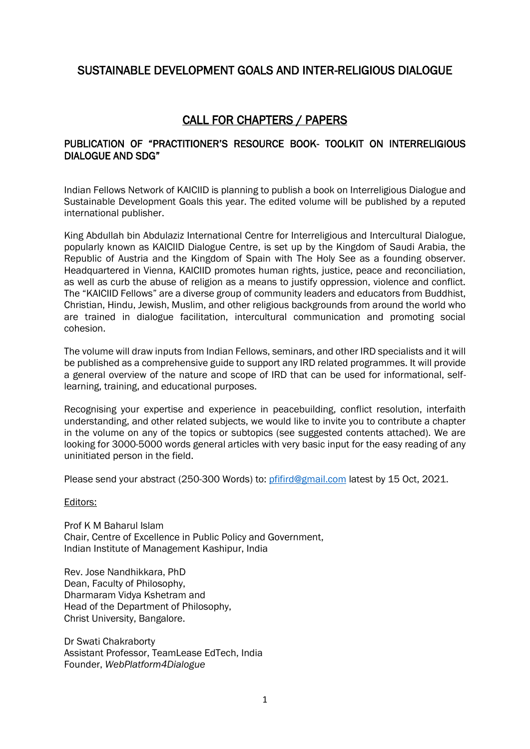# SUSTAINABLE DEVELOPMENT GOALS AND INTER-RELIGIOUS DIALOGUE

# CALL FOR CHAPTERS / PAPERS

### PUBLICATION OF "PRACTITIONER'S RESOURCE BOOK- TOOLKIT ON INTERRELIGIOUS DIALOGUE AND SDG"

Indian Fellows Network of KAICIID is planning to publish a book on Interreligious Dialogue and Sustainable Development Goals this year. The edited volume will be published by a reputed international publisher.

King Abdullah bin Abdulaziz International Centre for Interreligious and Intercultural Dialogue, popularly known as KAICIID Dialogue Centre, is set up by the Kingdom of Saudi Arabia, the Republic of Austria and the Kingdom of Spain with The Holy See as a founding observer. Headquartered in Vienna, KAICIID promotes human rights, justice, peace and reconciliation, as well as curb the abuse of religion as a means to justify oppression, violence and conflict. The "KAICIID Fellows" are a diverse group of community leaders and educators from Buddhist, Christian, Hindu, Jewish, Muslim, and other religious backgrounds from around the world who are trained in dialogue facilitation, intercultural communication and promoting social cohesion.

The volume will draw inputs from Indian Fellows, seminars, and other IRD specialists and it will be published as a comprehensive guide to support any IRD related programmes. It will provide a general overview of the nature and scope of IRD that can be used for informational, selflearning, training, and educational purposes.

Recognising your expertise and experience in peacebuilding, conflict resolution, interfaith understanding, and other related subjects, we would like to invite you to contribute a chapter in the volume on any of the topics or subtopics (see suggested contents attached). We are looking for 3000-5000 words general articles with very basic input for the easy reading of any uninitiated person in the field.

Please send your abstract (250-300 Words) to: [pfifird@gmail.com](mailto:pfifird@gmail.com) latest by 15 Oct, 2021.

Editors:

Prof K M Baharul Islam Chair, Centre of Excellence in Public Policy and Government, Indian Institute of Management Kashipur, India

Rev. Jose Nandhikkara, PhD Dean, Faculty of Philosophy, Dharmaram Vidya Kshetram and Head of the Department of Philosophy, Christ University, Bangalore.

Dr Swati Chakraborty Assistant Professor, TeamLease EdTech, India Founder, *WebPlatform4Dialogue*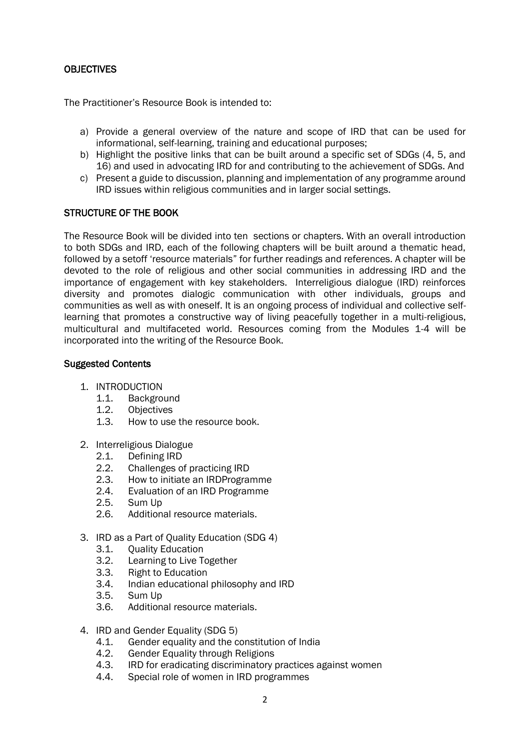### **OBJECTIVES**

The Practitioner's Resource Book is intended to:

- a) Provide a general overview of the nature and scope of IRD that can be used for informational, self-learning, training and educational purposes;
- b) Highlight the positive links that can be built around a specific set of SDGs (4, 5, and 16) and used in advocating IRD for and contributing to the achievement of SDGs. And
- c) Present a guide to discussion, planning and implementation of any programme around IRD issues within religious communities and in larger social settings.

#### STRUCTURE OF THE BOOK

The Resource Book will be divided into ten sections or chapters. With an overall introduction to both SDGs and IRD, each of the following chapters will be built around a thematic head, followed by a setoff 'resource materials" for further readings and references. A chapter will be devoted to the role of religious and other social communities in addressing IRD and the importance of engagement with key stakeholders. Interreligious dialogue (IRD) reinforces diversity and promotes dialogic communication with other individuals, groups and communities as well as with oneself. It is an ongoing process of individual and collective selflearning that promotes a constructive way of living peacefully together in a multi-religious, multicultural and multifaceted world. Resources coming from the Modules 1-4 will be incorporated into the writing of the Resource Book.

#### Suggested Contents

- 1. INTRODUCTION
	- 1.1. Background
	- 1.2. Objectives
	- 1.3. How to use the resource book.
- 2. Interreligious Dialogue
	- 2.1. Defining IRD
	- 2.2. Challenges of practicing IRD
	- 2.3. How to initiate an IRDProgramme
	- 2.4. Evaluation of an IRD Programme
	- 2.5. Sum Up
	- 2.6. Additional resource materials.
- 3. IRD as a Part of Quality Education (SDG 4)
	- 3.1. Quality Education
	- 3.2. Learning to Live Together
	- 3.3. Right to Education
	- 3.4. Indian educational philosophy and IRD
	- 3.5. Sum Up
	- 3.6. Additional resource materials.
- 4. IRD and Gender Equality (SDG 5)
	- 4.1. Gender equality and the constitution of India
	- 4.2. Gender Equality through Religions
	- 4.3. IRD for eradicating discriminatory practices against women
	- 4.4. Special role of women in IRD programmes